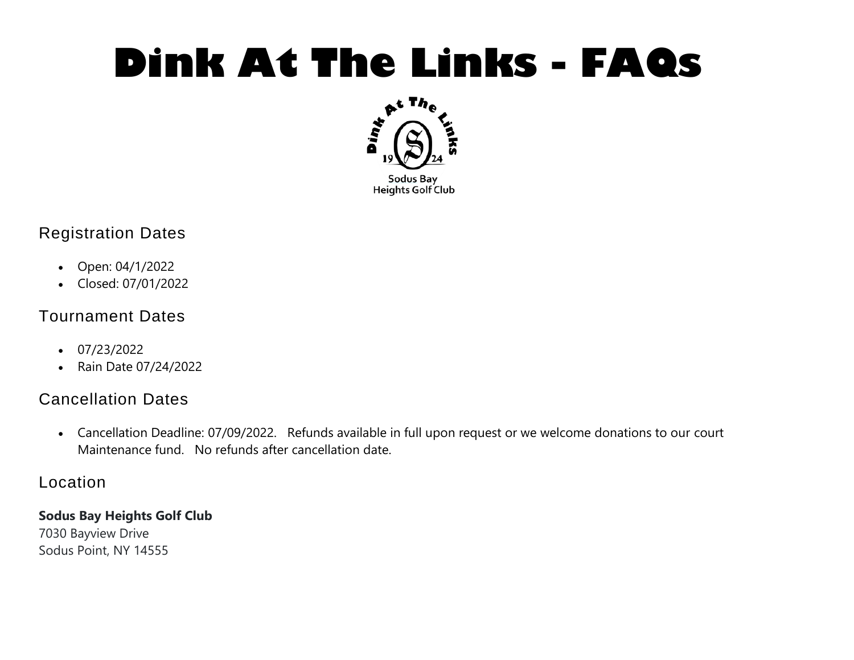# **Dink At The Links - FAQs**



# Registration Dates

- Open: 04/1/2022
- Closed: 07/01/2022

# Tournament Dates

- $\cdot$  07/23/2022
- Rain Date 07/24/2022

# Cancellation Dates

 Cancellation Deadline: 07/09/2022. Refunds available in full upon request or we welcome donations to our court Maintenance fund. No refunds after cancellation date.

### Location

#### **Sodus Bay Heights Golf Club**

7030 Bayview Drive Sodus Point, NY 14555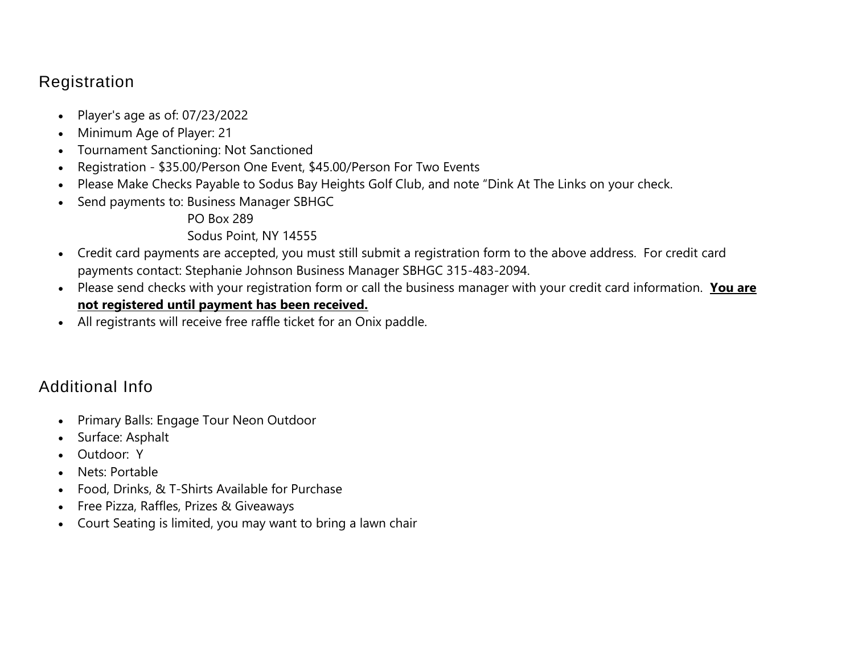# Registration

- Player's age as of:  $07/23/2022$
- Minimum Age of Player: 21
- Tournament Sanctioning: Not Sanctioned
- Registration \$35.00/Person One Event, \$45.00/Person For Two Events
- Please Make Checks Payable to Sodus Bay Heights Golf Club, and note "Dink At The Links on your check.
- Send payments to: Business Manager SBHGC
	- PO Box 289

Sodus Point, NY 14555

- Credit card payments are accepted, you must still submit a registration form to the above address. For credit card payments contact: Stephanie Johnson Business Manager SBHGC 315-483-2094.
- Please send checks with your registration form or call the business manager with your credit card information. **You are not registered until payment has been received.**
- All registrants will receive free raffle ticket for an Onix paddle.

# Additional Info

- Primary Balls: Engage Tour Neon Outdoor
- Surface: Asphalt
- Outdoor: Y
- Nets: Portable
- Food, Drinks, & T-Shirts Available for Purchase
- Free Pizza, Raffles, Prizes & Giveaways
- Court Seating is limited, you may want to bring a lawn chair